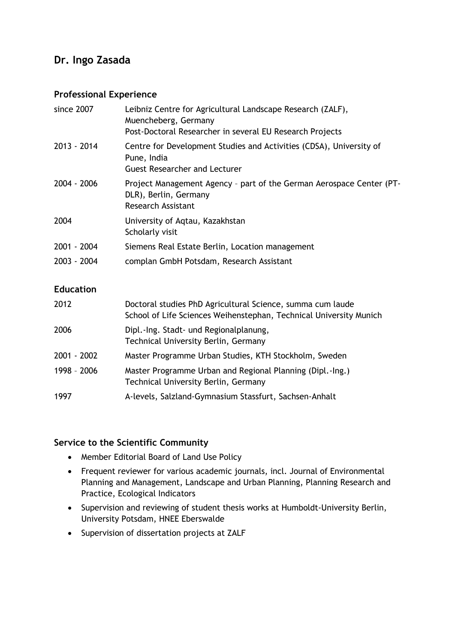## **Dr. Ingo Zasada**

## **Professional Experience**

| since 2007       | Leibniz Centre for Agricultural Landscape Research (ZALF),<br>Muencheberg, Germany<br>Post-Doctoral Researcher in several EU Research Projects |
|------------------|------------------------------------------------------------------------------------------------------------------------------------------------|
| 2013 - 2014      | Centre for Development Studies and Activities (CDSA), University of<br>Pune, India<br><b>Guest Researcher and Lecturer</b>                     |
| 2004 - 2006      | Project Management Agency - part of the German Aerospace Center (PT-<br>DLR), Berlin, Germany<br><b>Research Assistant</b>                     |
| 2004             | University of Aqtau, Kazakhstan<br>Scholarly visit                                                                                             |
| 2001 - 2004      | Siemens Real Estate Berlin, Location management                                                                                                |
| 2003 - 2004      | complan GmbH Potsdam, Research Assistant                                                                                                       |
| <b>Education</b> |                                                                                                                                                |
| 2012             | Doctoral studies PhD Agricultural Science, summa cum laude<br>School of Life Sciences Weihenstephan, Technical University Munich               |
| 2006             | Dipl.-Ing. Stadt- und Regionalplanung,<br><b>Technical University Berlin, Germany</b>                                                          |
| $2001 - 2002$    | Master Programme Urban Studies, KTH Stockholm, Sweden                                                                                          |
| 1998 - 2006      | Master Programme Urban and Regional Planning (Dipl.-Ing.)<br><b>Technical University Berlin, Germany</b>                                       |
| 1997             | A-levels, Salzland-Gymnasium Stassfurt, Sachsen-Anhalt                                                                                         |

## **Service to the Scientific Community**

- Member Editorial Board of Land Use Policy
- Frequent reviewer for various academic journals, incl. Journal of Environmental Planning and Management, Landscape and Urban Planning, Planning Research and Practice, Ecological Indicators
- Supervision and reviewing of student thesis works at Humboldt-University Berlin, University Potsdam, HNEE Eberswalde
- Supervision of dissertation projects at ZALF